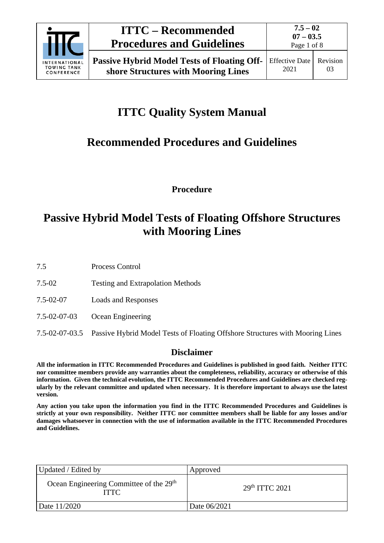

Page 1 of 8

# **ITTC Quality System Manual**

# **Recommended Procedures and Guidelines**

**Procedure**

## **Passive Hybrid Model Tests of Floating Offshore Structures with Mooring Lines**

7.5 Process Control

- 7.5-02 Testing and Extrapolation Methods
- 7.5-02-07 Loads and Responses
- 7.5-02-07-03 Ocean Engineering
- 7.5-02-07-03.5 Passive Hybrid Model Tests of Floating Offshore Structures with Mooring Lines

### **Disclaimer**

**All the information in ITTC Recommended Procedures and Guidelines is published in good faith. Neither ITTC nor committee members provide any warranties about the completeness, reliability, accuracy or otherwise of this information. Given the technical evolution, the ITTC Recommended Procedures and Guidelines are checked regularly by the relevant committee and updated when necessary. It is therefore important to always use the latest version.**

**Any action you take upon the information you find in the ITTC Recommended Procedures and Guidelines is strictly at your own responsibility. Neither ITTC nor committee members shall be liable for any losses and/or damages whatsoever in connection with the use of information available in the ITTC Recommended Procedures and Guidelines.**

| Updated / Edited by                                                | Approved                   |  |
|--------------------------------------------------------------------|----------------------------|--|
| Ocean Engineering Committee of the 29 <sup>th</sup><br><b>ITTC</b> | 29 <sup>th</sup> TTTC 2021 |  |
| Date 11/2020                                                       | Date 06/2021               |  |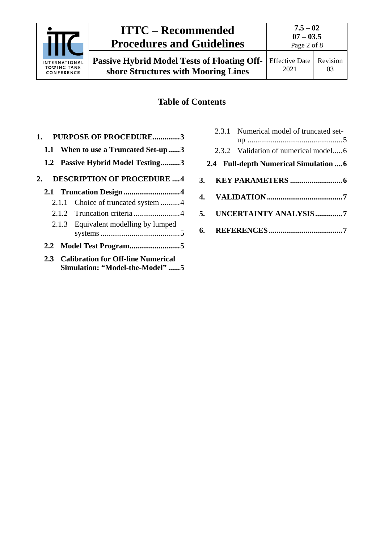

## **ITTC – Recommended Procedures and Guidelines**

**Passive Hybrid Model Tests of Floating Offshore Structures with Mooring Lines**

## **Table of Contents**

| <b>PURPOSE OF PROCEDURE3</b><br>1.      |
|-----------------------------------------|
| 1.1 When to use a Truncated Set-up3     |
| 1.2 Passive Hybrid Model Testing3       |
| <b>DESCRIPTION OF PROCEDURE 4</b><br>2. |
|                                         |
| 2.1.1 Choice of truncated system 4      |
|                                         |
| 2.1.3 Equivalent modelling by lumped    |
|                                         |
| 2.3 Calibration for Off-line Numerical  |

**[Simulation: "Model-the-Model"](#page-4-2) ......5**

|  | 2.3.1 Numerical model of truncated set- |
|--|-----------------------------------------|
|  |                                         |
|  | 2.3.2 Validation of numerical model6    |
|  | 2.4 Full-depth Numerical Simulation  6  |
|  |                                         |
|  |                                         |
|  | 5. UNCERTAINTY ANALYSIS7                |
|  |                                         |
|  |                                         |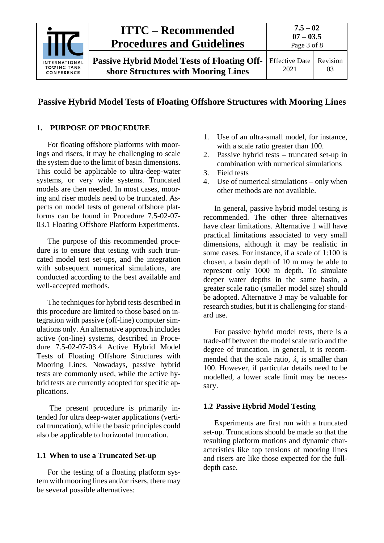

### **Passive Hybrid Model Tests of Floating Offshore Structures with Mooring Lines**

#### <span id="page-2-0"></span>**1. PURPOSE OF PROCEDURE**

For floating offshore platforms with moorings and risers, it may be challenging to scale the system due to the limit of basin dimensions. This could be applicable to ultra-deep-water systems, or very wide systems. Truncated models are then needed. In most cases, mooring and riser models need to be truncated. Aspects on model tests of general offshore platforms can be found in Procedure 7.5-02-07- 03.1 Floating Offshore Platform Experiments.

The purpose of this recommended procedure is to ensure that testing with such truncated model test set-ups, and the integration with subsequent numerical simulations, are conducted according to the best available and well-accepted methods.

The techniques for hybrid tests described in this procedure are limited to those based on integration with passive (off-line) computer simulations only. An alternative approach includes active (on-line) systems, described in Procedure 7.5-02-07-03.4 Active Hybrid Model Tests of Floating Offshore Structures with Mooring Lines. Nowadays, passive hybrid tests are commonly used, while the active hybrid tests are currently adopted for specific applications.

The present procedure is primarily intended for ultra deep-water applications (vertical truncation), while the basic principles could also be applicable to horizontal truncation.

#### <span id="page-2-1"></span>**1.1 When to use a Truncated Set-up**

For the testing of a floating platform system with mooring lines and/or risers, there may be several possible alternatives:

- 1. Use of an ultra-small model, for instance, with a scale ratio greater than 100.
- 2. Passive hybrid tests truncated set-up in combination with numerical simulations
- 3. Field tests
- 4. Use of numerical simulations only when other methods are not available.

In general, passive hybrid model testing is recommended. The other three alternatives have clear limitations. Alternative 1 will have practical limitations associated to very small dimensions, although it may be realistic in some cases. For instance, if a scale of 1:100 is chosen, a basin depth of 10 m may be able to represent only 1000 m depth. To simulate deeper water depths in the same basin, a greater scale ratio (smaller model size) should be adopted. Alternative 3 may be valuable for research studies, but it is challenging for standard use.

For passive hybrid model tests, there is a trade-off between the model scale ratio and the degree of truncation. In general, it is recommended that the scale ratio, λ*,* is smaller than 100. However, if particular details need to be modelled, a lower scale limit may be necessary.

#### <span id="page-2-2"></span>**1.2 Passive Hybrid Model Testing**

Experiments are first run with a truncated set-up. Truncations should be made so that the resulting platform motions and dynamic characteristics like top tensions of mooring lines and risers are like those expected for the fulldepth case.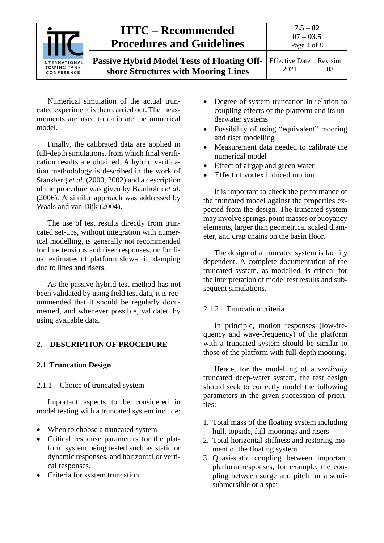| <b>INTERNATIONAL</b><br><b>TOWING TANK</b><br>CONFERENCE | <b>ITTC – Recommended</b><br><b>Procedures and Guidelines</b>                             | $7.5 - 02$<br>$07 - 03.5$<br>Page 4 of 8 |                |
|----------------------------------------------------------|-------------------------------------------------------------------------------------------|------------------------------------------|----------------|
|                                                          | <b>Passive Hybrid Model Tests of Floating Off-</b><br>shore Structures with Mooring Lines | <b>Effective Date</b><br>2021            | Revision<br>03 |

Numerical simulation of the actual truncated experiment is then carried out. The measurements are used to calibrate the numerical model.

Finally, the calibrated data are applied in full-depth simulations, from which final verification results are obtained. A hybrid verification methodology is described in the work of Stansberg *et al*. (2000, 2002) and a description of the procedure was given by Baarholm *et al.* (2006). A similar approach was addressed by Waals and van Dijk (2004).

The use of test results directly from truncated set-ups, without integration with numerical modelling, is generally not recommended for line tensions and riser responses, or for final estimates of platform slow-drift damping due to lines and risers.

As the passive hybrid test method has not been validated by using field test data, it is recommended that it should be regularly documented, and whenever possible, validated by using available data.

#### <span id="page-3-1"></span><span id="page-3-0"></span>**2. DESCRIPTION OF PROCEDURE**

#### <span id="page-3-2"></span>**2.1 Truncation Design**

2.1.1 Choice of truncated system

Important aspects to be considered in model testing with a truncated system include:

- When to choose a truncated system
- Critical response parameters for the platform system being tested such as static or dynamic responses, and horizontal or vertical responses.
- Criteria for system truncation
- Degree of system truncation in relation to coupling effects of the platform and its underwater systems
- Possibility of using "equivalent" mooring and riser modelling
- Measurement data needed to calibrate the numerical model
- Effect of airgap and green water
- Effect of vortex induced motion

It is important to check the performance of the truncated model against the properties expected from the design. The truncated system may involve springs, point masses or buoyancy elements, larger than geometrical scaled diameter, and drag chains on the basin floor.

The design of a truncated system is facility dependent. A complete documentation of the truncated system, as modelled, is critical for the interpretation of model test results and subsequent simulations.

#### <span id="page-3-3"></span>2.1.2 Truncation criteria

In principle, motion responses (low-frequency and wave-frequency) of the platform with a truncated system should be similar to those of the platform with full-depth mooring.

Hence, for the modelling of a *vertically* truncated deep-water system*,* the test design should seek to correctly model the following parameters in the given succession of priorities:

- 1. Total mass of the floating system including hull, topside, full-moorings and risers
- 2. Total horizontal stiffness and restoring moment of the floating system
- 3. Quasi-static coupling between important platform responses, for example, the coupling between surge and pitch for a semisubmersible or a spar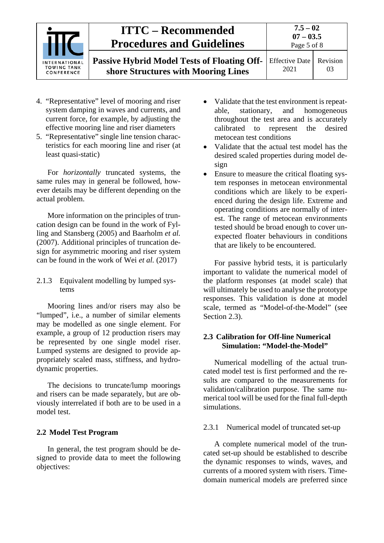| INTERNATIONAL<br><b>TOWING TANK</b><br>CONFERENCE | <b>ITTC – Recommended</b><br><b>Procedures and Guidelines</b>                      | $7.5 - 02$<br>$07 - 03.5$<br>Page 5 of 8 |    |
|---------------------------------------------------|------------------------------------------------------------------------------------|------------------------------------------|----|
|                                                   | Passive Hybrid Model Tests of Floating Off-<br>shore Structures with Mooring Lines | Effective Date   Revision<br>2021        | 03 |

- 4. "Representative" level of mooring and riser system damping in waves and currents, and current force, for example, by adjusting the effective mooring line and riser diameters
- 5. "Representative" single line tension characteristics for each mooring line and riser (at least quasi-static)

For *horizontally* truncated systems, the same rules may in general be followed, however details may be different depending on the actual problem.

More information on the principles of truncation design can be found in the work of Fylling and Stansberg (2005) and Baarholm *et al.* (2007). Additional principles of truncation design for asymmetric mooring and riser system can be found in the work of Wei *et al.* (2017)

<span id="page-4-0"></span>2.1.3 Equivalent modelling by lumped systems

Mooring lines and/or risers may also be "lumped", i.e., a number of similar elements may be modelled as one single element. For example, a group of 12 production risers may be represented by one single model riser. Lumped systems are designed to provide appropriately scaled mass, stiffness, and hydrodynamic properties.

The decisions to truncate/lump moorings and risers can be made separately, but are obviously interrelated if both are to be used in a model test.

#### <span id="page-4-1"></span>**2.2 Model Test Program**

In general, the test program should be designed to provide data to meet the following objectives:

- Validate that the test environment is repeatable, stationary, and homogeneous throughout the test area and is accurately calibrated to represent the desired metocean test conditions
- Validate that the actual test model has the desired scaled properties during model design
- Ensure to measure the critical floating system responses in metocean environmental conditions which are likely to be experienced during the design life. Extreme and operating conditions are normally of interest. The range of metocean environments tested should be broad enough to cover unexpected floater behaviours in conditions that are likely to be encountered.

For passive hybrid tests, it is particularly important to validate the numerical model of the platform responses (at model scale) that will ultimately be used to analyse the prototype responses. This validation is done at model scale, termed as "Model-of-the-Model" (see Section 2.3).

#### <span id="page-4-2"></span>**2.3 Calibration for Off-line Numerical Simulation: "Model-the-Model"**

Numerical modelling of the actual truncated model test is first performed and the results are compared to the measurements for validation/calibration purpose. The same numerical tool will be used for the final full-depth simulations.

#### <span id="page-4-3"></span>2.3.1 Numerical model of truncated set-up

A complete numerical model of the truncated set-up should be established to describe the dynamic responses to winds, waves, and currents of a moored system with risers. Timedomain numerical models are preferred since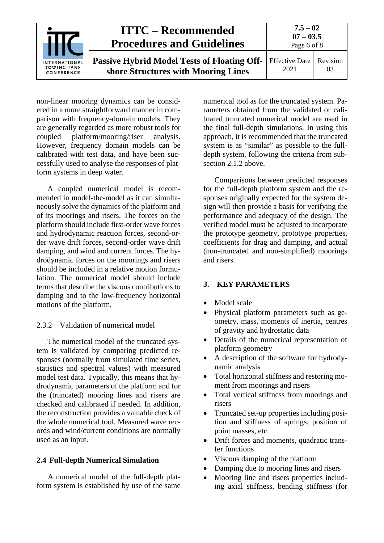|                                                          | <b>ITTC – Recommended</b><br><b>Procedures and Guidelines</b>                      | $7.5 - 02$<br>$07 - 03.5$<br>Page 6 of 8 |                       |
|----------------------------------------------------------|------------------------------------------------------------------------------------|------------------------------------------|-----------------------|
| <b>INTERNATIONAL</b><br><b>TOWING TANK</b><br>CONFERENCE | Passive Hybrid Model Tests of Floating Off-<br>shore Structures with Mooring Lines | <b>Effective Date</b><br>2021            | <b>Revision</b><br>03 |

non-linear mooring dynamics can be considered in a more straightforward manner in comparison with frequency-domain models. They are generally regarded as more robust tools for coupled platform/mooring/riser analysis. However, frequency domain models can be calibrated with test data, and have been successfully used to analyse the responses of platform systems in deep water.

A coupled numerical model is recommended in model-the-model as it can simultaneously solve the dynamics of the platform and of its moorings and risers. The forces on the platform should include first-order wave forces and hydrodynamic reaction forces, second-order wave drift forces, second-order wave drift damping, and wind and current forces. The hydrodynamic forces on the moorings and risers should be included in a relative motion formulation. The numerical model should include terms that describe the viscous contributions to damping and to the low-frequency horizontal motions of the platform.

#### <span id="page-5-0"></span>2.3.2 Validation of numerical model

The numerical model of the truncated system is validated by comparing predicted responses (normally from simulated time series, statistics and spectral values) with measured model test data. Typically, this means that hydrodynamic parameters of the platform and for the (truncated) mooring lines and risers are checked and calibrated if needed. In addition, the reconstruction provides a valuable check of the whole numerical tool. Measured wave records and wind/current conditions are normally used as an input.

#### <span id="page-5-1"></span>**2.4 Full-depth Numerical Simulation**

A numerical model of the full-depth platform system is established by use of the same numerical tool as for the truncated system. Parameters obtained from the validated or calibrated truncated numerical model are used in the final full-depth simulations. In using this approach, it is recommended that the truncated system is as "similar" as possible to the fulldepth system, following the criteria from subsection 2.1.2 above.

Comparisons between predicted responses for the full-depth platform system and the responses originally expected for the system design will then provide a basis for verifying the performance and adequacy of the design. The verified model must be adjusted to incorporate the prototype geometry, prototype properties, coefficients for drag and damping, and actual (non-truncated and non-simplified) moorings and risers.

#### <span id="page-5-2"></span>**3. KEY PARAMETERS**

- Model scale
- Physical platform parameters such as geometry, mass, moments of inertia, centres of gravity and hydrostatic data
- Details of the numerical representation of platform geometry
- A description of the software for hydrodynamic analysis
- Total horizontal stiffness and restoring moment from moorings and risers
- Total vertical stiffness from moorings and risers
- Truncated set-up properties including position and stiffness of springs, position of point masses, etc.
- Drift forces and moments, quadratic transfer functions
- Viscous damping of the platform
- Damping due to mooring lines and risers
- Mooring line and risers properties including axial stiffness, bending stiffness (for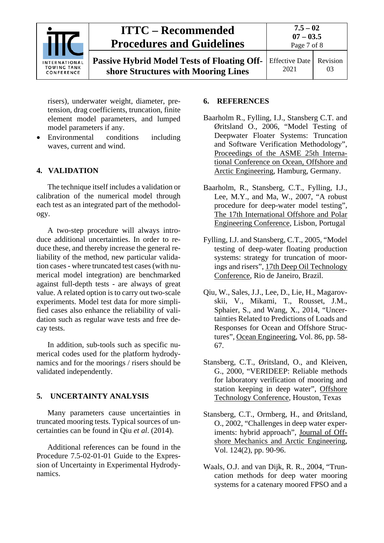

## **ITTC – Recommended Procedures and Guidelines**

**Passive Hybrid Model Tests of Floating Offshore Structures with Mooring Lines**

Effective Date 2021 Revision 03

risers), underwater weight, diameter, pretension, drag coefficients, truncation, finite element model parameters, and lumped model parameters if any.

• Environmental conditions including waves, current and wind.

### <span id="page-6-0"></span>**4. VALIDATION**

The technique itself includes a validation or calibration of the numerical model through each test as an integrated part of the methodology.

A two-step procedure will always introduce additional uncertainties. In order to reduce these, and thereby increase the general reliability of the method, new particular validation cases - where truncated test cases (with numerical model integration) are benchmarked against full-depth tests - are always of great value. A related option is to carry out two-scale experiments. Model test data for more simplified cases also enhance the reliability of validation such as regular wave tests and free decay tests.

In addition, sub-tools such as specific numerical codes used for the platform hydrodynamics and for the moorings / risers should be validated independently.

### <span id="page-6-1"></span>**5. UNCERTAINTY ANALYSIS**

Many parameters cause uncertainties in truncated mooring tests. Typical sources of uncertainties can be found in Qiu *et al*. (2014).

Additional references can be found in the Procedure 7.5-02-01-01 Guide to the Expression of Uncertainty in Experimental Hydrodynamics.

#### <span id="page-6-2"></span>**6. REFERENCES**

- Baarholm R., Fylling, I.J., Stansberg C.T. and Øritsland O., 2006, "Model Testing of Deepwater Floater Systems: Truncation and Software Verification Methodology", Proceedings of the ASME 25th International Conference on Ocean, Offshore and Arctic Engineering, Hamburg, Germany.
- Baarholm, R., Stansberg, C.T., Fylling, I.J., Lee, M.Y., and Ma, W., 2007, "A robust procedure for deep-water model testing", The 17th International Offshore and Polar Engineering Conference, Lisbon, Portugal
- Fylling, I.J. and Stansberg, C.T., 2005, "Model testing of deep-water floating production systems: strategy for truncation of moorings and risers", 17th Deep Oil Technology Conference, Rio de Janeiro, Brazil.
- Qiu, W., Sales, J.J., Lee, D., Lie, H., Magarovskii, V., Mikami, T., Rousset, J.M., Sphaier, S., and Wang, X., 2014, "Uncertainties Related to Predictions of Loads and Responses for Ocean and Offshore Structures", Ocean Engineering, Vol. 86, pp. 58- 67.
- Stansberg, C.T., Øritsland, O., and Kleiven, G., 2000, "VERIDEEP: Reliable methods for laboratory verification of mooring and station keeping in deep water", Offshore Technology Conference, Houston, Texas
- Stansberg, C.T., Ormberg, H., and Øritsland, O., 2002, "Challenges in deep water experiments: hybrid approach", Journal of Offshore Mechanics and Arctic Engineering, Vol. 124(2), pp. 90-96.
- Waals, O.J. and van Dijk, R. R., 2004, "Truncation methods for deep water mooring systems for a catenary moored FPSO and a